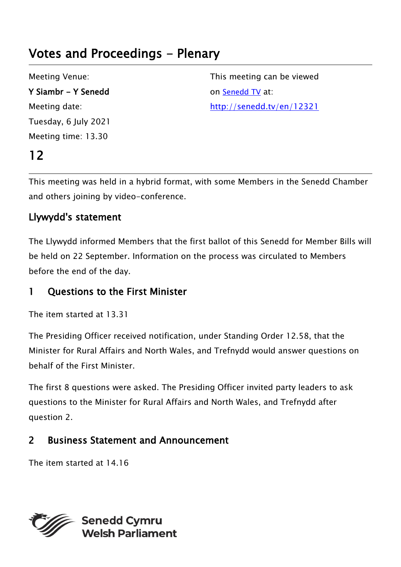# Votes and Proceedings - Plenary

Meeting Venue: Y Siambr - Y Senedd Meeting date: Tuesday, 6 July 2021 Meeting time: 13.30

12

This meeting can be viewed on [Senedd TV](http://senedd.tv/) at: http://senedd.tv/en/12321

This meeting was held in a hybrid format, with some Members in the Senedd Chamber and others joining by video-conference.

#### Llywydd's statement

The Llywydd informed Members that the first ballot of this Senedd for Member Bills will be held on 22 September. Information on the process was circulated to Members before the end of the day.

#### 1 Ouestions to the First Minister

```
The item started at 13.31
```
The Presiding Officer received notification, under Standing Order 12.58, that the Minister for Rural Affairs and North Wales, and Trefnydd would answer questions on behalf of the First Minister.

The first 8 questions were asked. The Presiding Officer invited party leaders to ask questions to the Minister for Rural Affairs and North Wales, and Trefnydd after question 2.

### 2 Business Statement and Announcement

The item started at 14.16